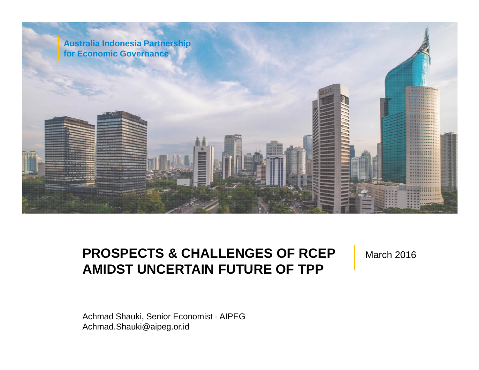

#### **PROSPECTS & CHALLENGES OF RCEP AMIDST UNCERTAIN FUTURE OF TPP**

March 2016

Achmad.Shauki@aipeg.or.id Achmad Shauki, Senior Economist - AIPEG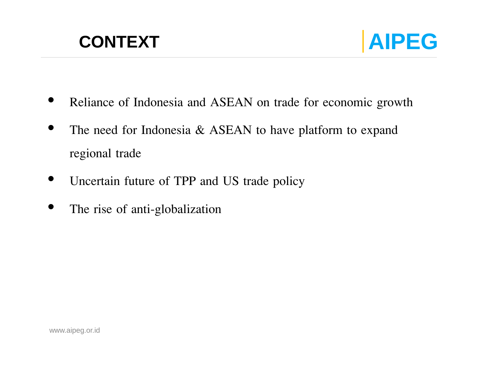

- Reliance of Indonesia and ASEAN on trade for economic growth
- The need for Indonesia  $&$  ASEAN to have platform to expand regional trade
- Uncertain future of TPP and US trade policy
- The rise of anti-globalization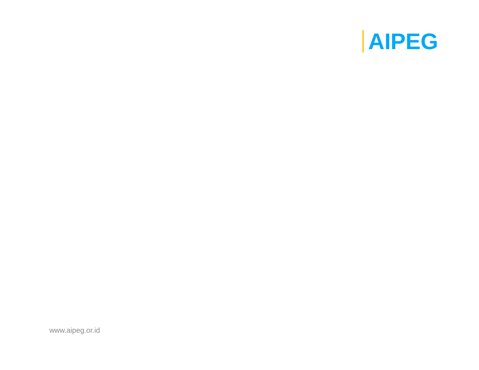

www.aipeg.or.id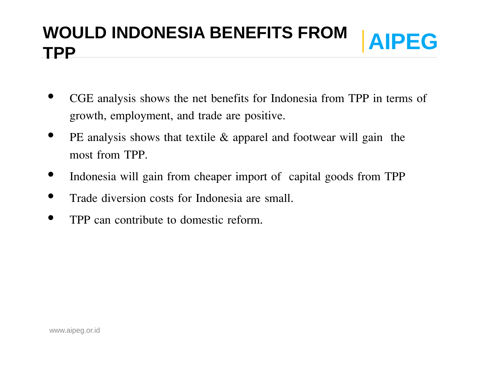#### **WOULD INDONESIA BENEFITS FROM AIPEG TPP**

- CGE analysis shows the net benefits for Indonesia from TPP in terms of growth, employment, and trade are positive.
- PE analysis shows that textile  $\&$  apparel and footwear will gain the most from TPP.
- Indonesia will gain from cheaper import of capital goods from TPP
- Trade diversion costs for Indonesia are small.
- TPP can contribute to domestic reform.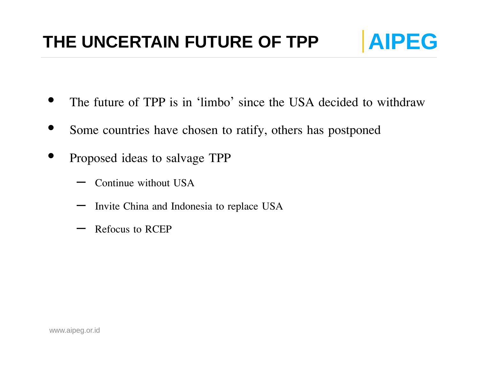#### THE UNCERTAIN FUTURE OF TPP **AIPEG**



- The future of TPP is in 'limbo' since the USA decided to withdraw
- Some countries have chosen to ratify, others has postponed
- Proposed ideas to salvage TPP
	- Continue without USA
	- Invite China and Indonesia to replace USA
	- Refocus to RCEP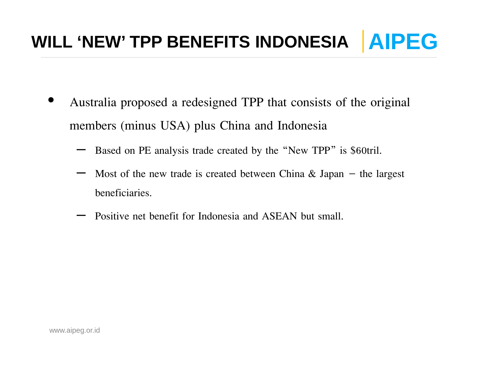### WILL 'NEW' TPP BENEFITS INDONESIA | AIPEG

- Australia proposed a redesigned TPP that consists of the original members (minus USA) plus China and Indonesia
	- Based on PE analysis trade created by the "New TPP" is \$60tril.
	- Most of the new trade is created between China  $\&$  Japan the largest beneficiaries.
	- Positive net benefit for Indonesia and ASEAN but small.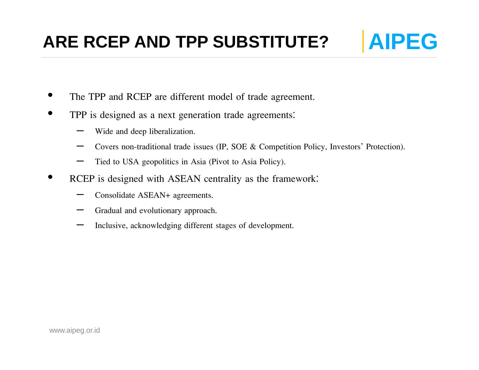#### **ARE RCEP AND TPP SUBSTITUTE?** | AIPEG

- The TPP and RCEP are different model of trade agreement.
- TPP is designed as a next generation trade agreements:
	- Wide and deep liberalization.
	- Covers non-traditional trade issues (IP, SOE & Competition Policy, Investors' Protection).
	- Tied to USA geopolitics in Asia (Pivot to Asia Policy).
- RCEP is designed with ASEAN centrality as the framework:
	- Consolidate ASEAN+ agreements.
	- Gradual and evolutionary approach.
	- Inclusive, acknowledging different stages of development.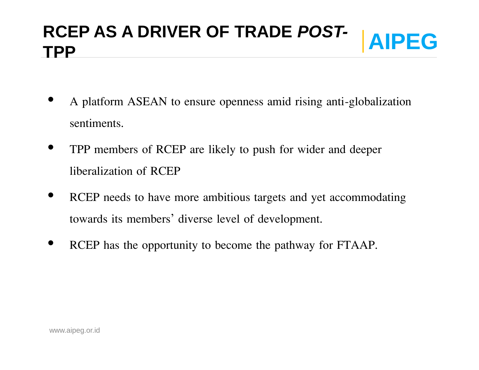# **AIPEG RCEP AS A DRIVER OF TRADE** *POST-* **TPP**

- A platform ASEAN to ensure openness amid rising anti-globalization sentiments.
- TPP members of RCEP are likely to push for wider and deeper liberalization of RCEP
- RCEP needs to have more ambitious targets and yet accommodating towards its members' diverse level of development.
- RCEP has the opportunity to become the pathway for FTAAP.